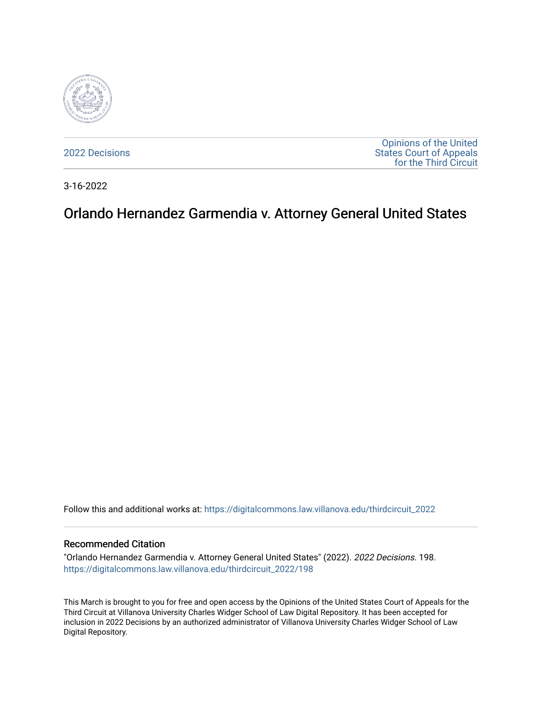

[2022 Decisions](https://digitalcommons.law.villanova.edu/thirdcircuit_2022)

[Opinions of the United](https://digitalcommons.law.villanova.edu/thirdcircuit)  [States Court of Appeals](https://digitalcommons.law.villanova.edu/thirdcircuit)  [for the Third Circuit](https://digitalcommons.law.villanova.edu/thirdcircuit) 

3-16-2022

# Orlando Hernandez Garmendia v. Attorney General United States

Follow this and additional works at: [https://digitalcommons.law.villanova.edu/thirdcircuit\\_2022](https://digitalcommons.law.villanova.edu/thirdcircuit_2022?utm_source=digitalcommons.law.villanova.edu%2Fthirdcircuit_2022%2F198&utm_medium=PDF&utm_campaign=PDFCoverPages) 

#### Recommended Citation

"Orlando Hernandez Garmendia v. Attorney General United States" (2022). 2022 Decisions. 198. [https://digitalcommons.law.villanova.edu/thirdcircuit\\_2022/198](https://digitalcommons.law.villanova.edu/thirdcircuit_2022/198?utm_source=digitalcommons.law.villanova.edu%2Fthirdcircuit_2022%2F198&utm_medium=PDF&utm_campaign=PDFCoverPages)

This March is brought to you for free and open access by the Opinions of the United States Court of Appeals for the Third Circuit at Villanova University Charles Widger School of Law Digital Repository. It has been accepted for inclusion in 2022 Decisions by an authorized administrator of Villanova University Charles Widger School of Law Digital Repository.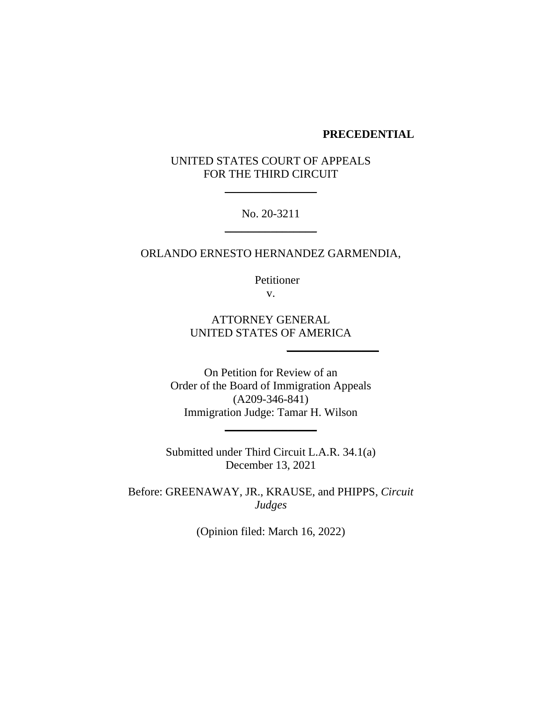### **PRECEDENTIAL**

# UNITED STATES COURT OF APPEALS FOR THE THIRD CIRCUIT

\_\_\_\_\_\_\_\_\_\_\_\_\_\_\_\_

No. 20-3211  $\overline{\phantom{a}}$ 

ORLANDO ERNESTO HERNANDEZ GARMENDIA,

Petitioner v.

ATTORNEY GENERAL UNITED STATES OF AMERICA

\_\_\_\_\_\_\_\_\_\_\_\_\_\_\_\_

On Petition for Review of an Order of the Board of Immigration Appeals (A209-346-841) Immigration Judge: Tamar H. Wilson

 $\overline{\phantom{a}}$ 

Submitted under Third Circuit L.A.R. 34.1(a) December 13, 2021

Before: GREENAWAY, JR., KRAUSE, and PHIPPS, *Circuit Judges*

(Opinion filed: March 16, 2022)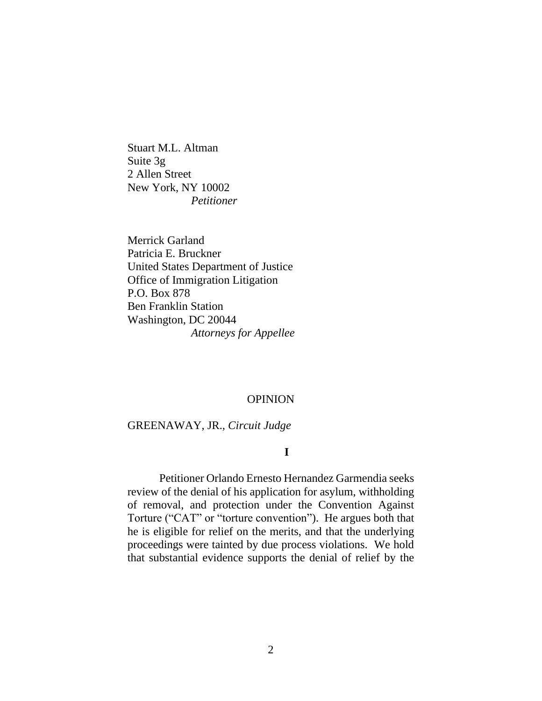Stuart M.L. Altman Suite 3g 2 Allen Street New York, NY 10002 *Petitioner*

Merrick Garland Patricia E. Bruckner United States Department of Justice Office of Immigration Litigation P.O. Box 878 Ben Franklin Station Washington, DC 20044 *Attorneys for Appellee*

## **OPINION**

#### GREENAWAY, JR., *Circuit Judge*

#### **I**

Petitioner Orlando Ernesto Hernandez Garmendia seeks review of the denial of his application for asylum, withholding of removal, and protection under the Convention Against Torture ("CAT" or "torture convention"). He argues both that he is eligible for relief on the merits, and that the underlying proceedings were tainted by due process violations. We hold that substantial evidence supports the denial of relief by the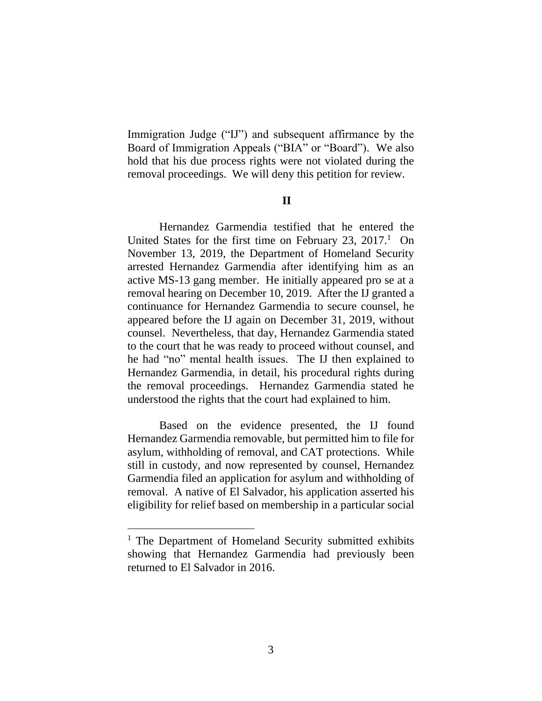Immigration Judge ("IJ") and subsequent affirmance by the Board of Immigration Appeals ("BIA" or "Board"). We also hold that his due process rights were not violated during the removal proceedings. We will deny this petition for review.

## **II**

Hernandez Garmendia testified that he entered the United States for the first time on February 23,  $2017<sup>1</sup>$  On November 13, 2019, the Department of Homeland Security arrested Hernandez Garmendia after identifying him as an active MS-13 gang member. He initially appeared pro se at a removal hearing on December 10, 2019. After the IJ granted a continuance for Hernandez Garmendia to secure counsel, he appeared before the IJ again on December 31, 2019, without counsel. Nevertheless, that day, Hernandez Garmendia stated to the court that he was ready to proceed without counsel, and he had "no" mental health issues. The IJ then explained to Hernandez Garmendia, in detail, his procedural rights during the removal proceedings. Hernandez Garmendia stated he understood the rights that the court had explained to him.

Based on the evidence presented, the IJ found Hernandez Garmendia removable, but permitted him to file for asylum, withholding of removal, and CAT protections. While still in custody, and now represented by counsel, Hernandez Garmendia filed an application for asylum and withholding of removal. A native of El Salvador, his application asserted his eligibility for relief based on membership in a particular social

<sup>&</sup>lt;sup>1</sup> The Department of Homeland Security submitted exhibits showing that Hernandez Garmendia had previously been returned to El Salvador in 2016.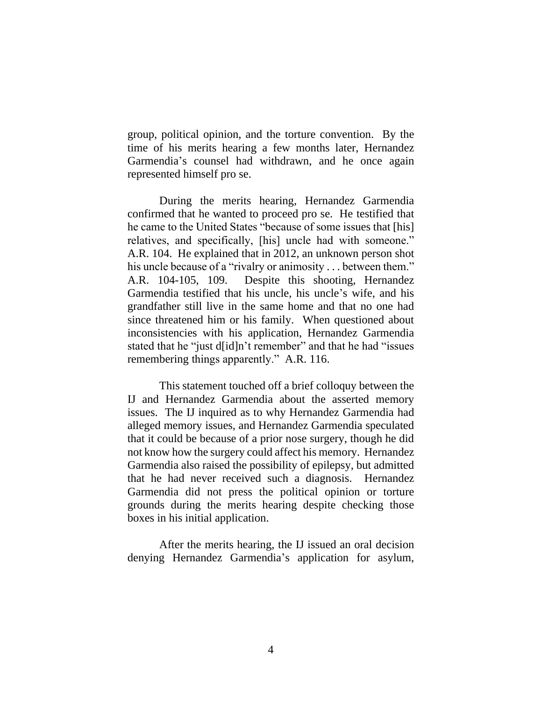group, political opinion, and the torture convention. By the time of his merits hearing a few months later, Hernandez Garmendia's counsel had withdrawn, and he once again represented himself pro se.

During the merits hearing, Hernandez Garmendia confirmed that he wanted to proceed pro se. He testified that he came to the United States "because of some issues that [his] relatives, and specifically, [his] uncle had with someone." A.R. 104. He explained that in 2012, an unknown person shot his uncle because of a "rivalry or animosity . . . between them." A.R. 104-105, 109. Despite this shooting, Hernandez Garmendia testified that his uncle, his uncle's wife, and his grandfather still live in the same home and that no one had since threatened him or his family. When questioned about inconsistencies with his application, Hernandez Garmendia stated that he "just d[id]n't remember" and that he had "issues remembering things apparently." A.R. 116.

This statement touched off a brief colloquy between the IJ and Hernandez Garmendia about the asserted memory issues. The IJ inquired as to why Hernandez Garmendia had alleged memory issues, and Hernandez Garmendia speculated that it could be because of a prior nose surgery, though he did not know how the surgery could affect his memory. Hernandez Garmendia also raised the possibility of epilepsy, but admitted that he had never received such a diagnosis. Hernandez Garmendia did not press the political opinion or torture grounds during the merits hearing despite checking those boxes in his initial application.

After the merits hearing, the IJ issued an oral decision denying Hernandez Garmendia's application for asylum,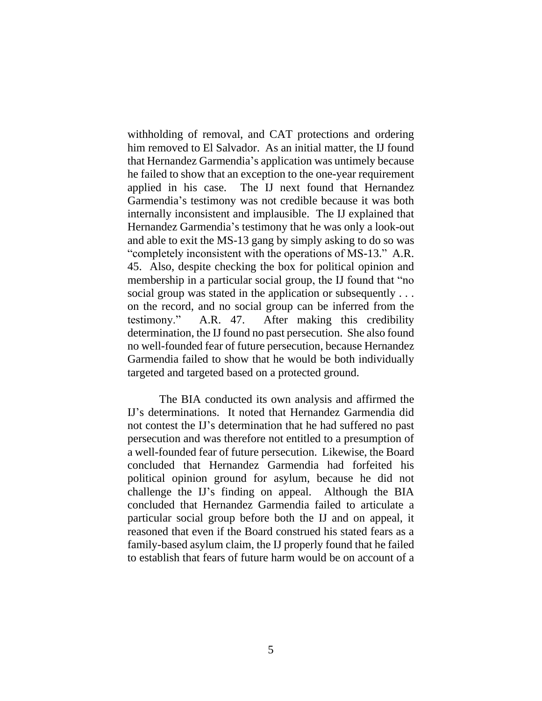withholding of removal, and CAT protections and ordering him removed to El Salvador. As an initial matter, the IJ found that Hernandez Garmendia's application was untimely because he failed to show that an exception to the one-year requirement applied in his case. The IJ next found that Hernandez Garmendia's testimony was not credible because it was both internally inconsistent and implausible. The IJ explained that Hernandez Garmendia's testimony that he was only a look-out and able to exit the MS-13 gang by simply asking to do so was "completely inconsistent with the operations of MS-13." A.R. 45. Also, despite checking the box for political opinion and membership in a particular social group, the IJ found that "no social group was stated in the application or subsequently ... on the record, and no social group can be inferred from the testimony." A.R. 47.After making this credibility determination, the IJ found no past persecution. She also found no well-founded fear of future persecution, because Hernandez Garmendia failed to show that he would be both individually targeted and targeted based on a protected ground.

The BIA conducted its own analysis and affirmed the IJ's determinations. It noted that Hernandez Garmendia did not contest the IJ's determination that he had suffered no past persecution and was therefore not entitled to a presumption of a well-founded fear of future persecution. Likewise, the Board concluded that Hernandez Garmendia had forfeited his political opinion ground for asylum, because he did not challenge the IJ's finding on appeal. Although the BIA concluded that Hernandez Garmendia failed to articulate a particular social group before both the IJ and on appeal, it reasoned that even if the Board construed his stated fears as a family-based asylum claim, the IJ properly found that he failed to establish that fears of future harm would be on account of a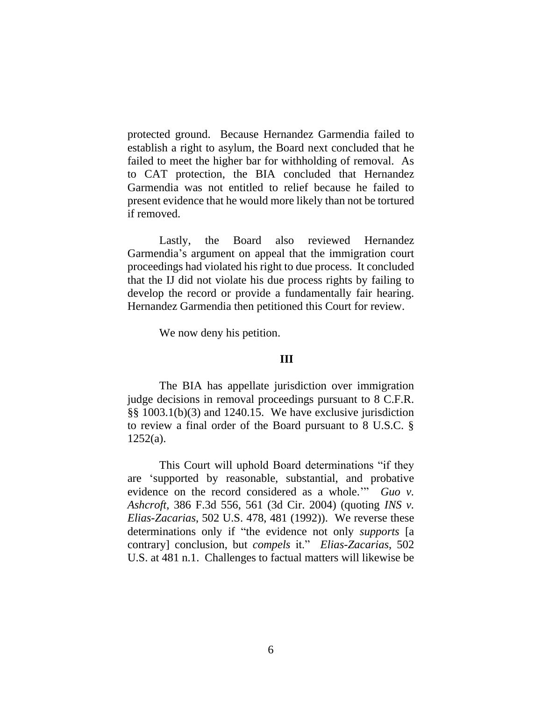protected ground. Because Hernandez Garmendia failed to establish a right to asylum, the Board next concluded that he failed to meet the higher bar for withholding of removal. As to CAT protection, the BIA concluded that Hernandez Garmendia was not entitled to relief because he failed to present evidence that he would more likely than not be tortured if removed.

Lastly, the Board also reviewed Hernandez Garmendia's argument on appeal that the immigration court proceedings had violated his right to due process. It concluded that the IJ did not violate his due process rights by failing to develop the record or provide a fundamentally fair hearing. Hernandez Garmendia then petitioned this Court for review.

We now deny his petition.

# **III**

The BIA has appellate jurisdiction over immigration judge decisions in removal proceedings pursuant to 8 C.F.R. §§ 1003.1(b)(3) and 1240.15. We have exclusive jurisdiction to review a final order of the Board pursuant to 8 U.S.C. §  $1252(a)$ .

This Court will uphold Board determinations "if they are 'supported by reasonable, substantial, and probative evidence on the record considered as a whole.'" *Guo v. Ashcroft*, 386 F.3d 556, 561 (3d Cir. 2004) (quoting *INS v. Elias-Zacarias*, 502 U.S. 478, 481 (1992)). We reverse these determinations only if "the evidence not only *supports* [a contrary] conclusion, but *compels* it." *Elias-Zacarias*, 502 U.S. at 481 n.1. Challenges to factual matters will likewise be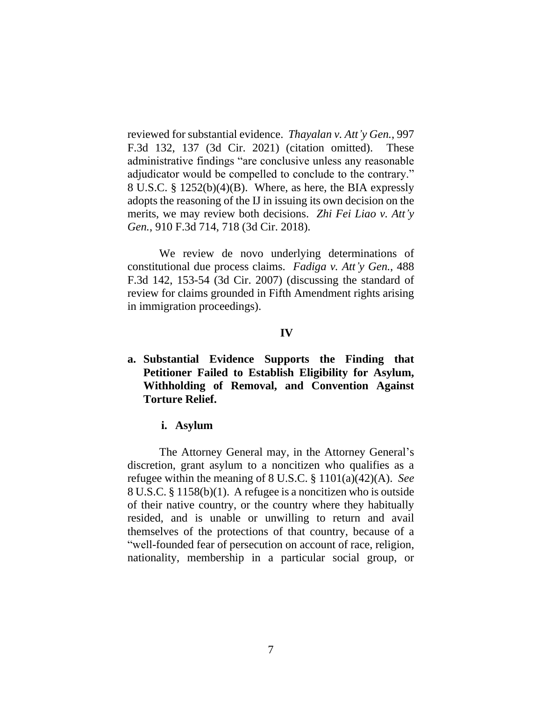reviewed for substantial evidence. *Thayalan v. Att'y Gen.*, 997 F.3d 132, 137 (3d Cir. 2021) (citation omitted). These administrative findings "are conclusive unless any reasonable adjudicator would be compelled to conclude to the contrary." 8 U.S.C. § 1252(b)(4)(B). Where, as here, the BIA expressly adopts the reasoning of the IJ in issuing its own decision on the merits, we may review both decisions. *Zhi Fei Liao v. Att'y Gen.*, 910 F.3d 714, 718 (3d Cir. 2018).

We review de novo underlying determinations of constitutional due process claims. *Fadiga v. Att'y Gen.*, 488 F.3d 142, 153-54 (3d Cir. 2007) (discussing the standard of review for claims grounded in Fifth Amendment rights arising in immigration proceedings).

## **IV**

**a. Substantial Evidence Supports the Finding that Petitioner Failed to Establish Eligibility for Asylum, Withholding of Removal, and Convention Against Torture Relief.**

## **i. Asylum**

The Attorney General may, in the Attorney General's discretion, grant asylum to a noncitizen who qualifies as a refugee within the meaning of 8 U.S.C. § 1101(a)(42)(A). *See* 8 U.S.C. § 1158(b)(1). A refugee is a noncitizen who is outside of their native country, or the country where they habitually resided, and is unable or unwilling to return and avail themselves of the protections of that country, because of a "well-founded fear of persecution on account of race, religion, nationality, membership in a particular social group, or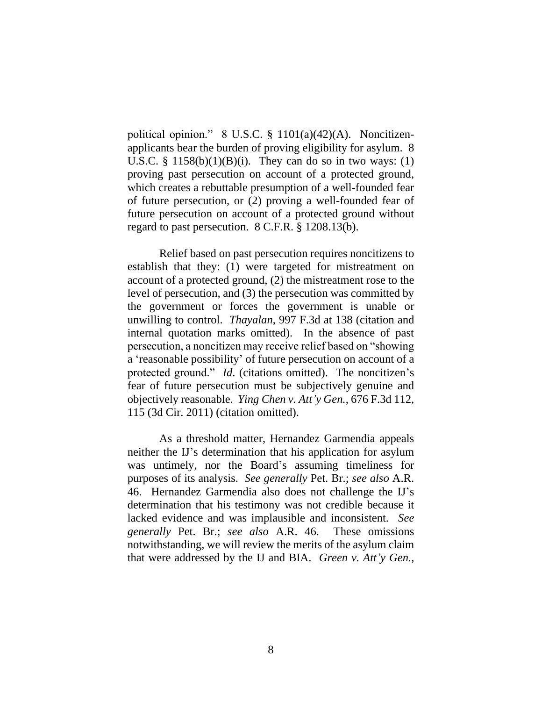political opinion." 8 U.S.C. § 1101(a)(42)(A). Noncitizenapplicants bear the burden of proving eligibility for asylum. 8 U.S.C. §  $1158(b)(1)(B)(i)$ . They can do so in two ways: (1) proving past persecution on account of a protected ground, which creates a rebuttable presumption of a well-founded fear of future persecution, or (2) proving a well-founded fear of future persecution on account of a protected ground without regard to past persecution. 8 C.F.R. § 1208.13(b).

Relief based on past persecution requires noncitizens to establish that they: (1) were targeted for mistreatment on account of a protected ground, (2) the mistreatment rose to the level of persecution, and (3) the persecution was committed by the government or forces the government is unable or unwilling to control. *Thayalan*, 997 F.3d at 138 (citation and internal quotation marks omitted). In the absence of past persecution, a noncitizen may receive relief based on "showing a 'reasonable possibility' of future persecution on account of a protected ground." *Id*. (citations omitted). The noncitizen's fear of future persecution must be subjectively genuine and objectively reasonable. *Ying Chen v. Att'y Gen.*, 676 F.3d 112, 115 (3d Cir. 2011) (citation omitted).

As a threshold matter, Hernandez Garmendia appeals neither the IJ's determination that his application for asylum was untimely, nor the Board's assuming timeliness for purposes of its analysis. *See generally* Pet. Br.; *see also* A.R. 46. Hernandez Garmendia also does not challenge the IJ's determination that his testimony was not credible because it lacked evidence and was implausible and inconsistent. *See generally* Pet. Br.; *see also* A.R. 46. These omissions notwithstanding, we will review the merits of the asylum claim that were addressed by the IJ and BIA. *Green v. Att'y Gen.*,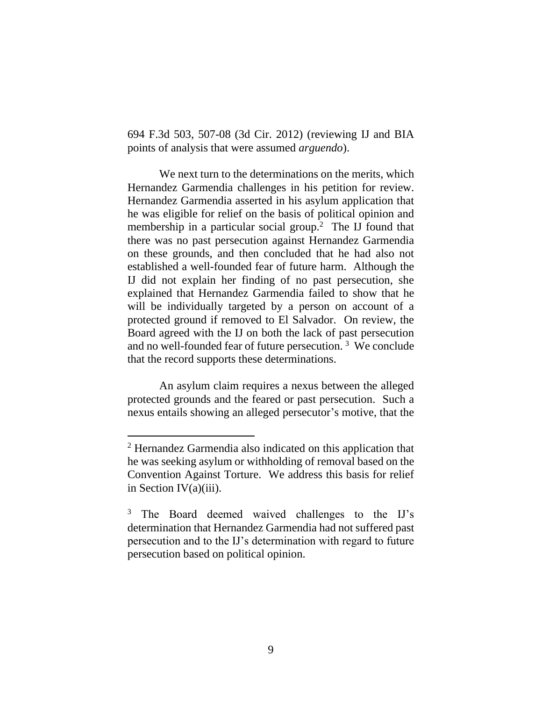694 F.3d 503, 507-08 (3d Cir. 2012) (reviewing IJ and BIA points of analysis that were assumed *arguendo*).

We next turn to the determinations on the merits, which Hernandez Garmendia challenges in his petition for review. Hernandez Garmendia asserted in his asylum application that he was eligible for relief on the basis of political opinion and membership in a particular social group.<sup>2</sup> The IJ found that there was no past persecution against Hernandez Garmendia on these grounds, and then concluded that he had also not established a well-founded fear of future harm. Although the IJ did not explain her finding of no past persecution, she explained that Hernandez Garmendia failed to show that he will be individually targeted by a person on account of a protected ground if removed to El Salvador. On review, the Board agreed with the IJ on both the lack of past persecution and no well-founded fear of future persecution.<sup>3</sup> We conclude that the record supports these determinations.

An asylum claim requires a nexus between the alleged protected grounds and the feared or past persecution. Such a nexus entails showing an alleged persecutor's motive, that the

<sup>2</sup> Hernandez Garmendia also indicated on this application that he was seeking asylum or withholding of removal based on the Convention Against Torture. We address this basis for relief in Section IV(a)(iii).

<sup>&</sup>lt;sup>3</sup> The Board deemed waived challenges to the IJ's determination that Hernandez Garmendia had not suffered past persecution and to the IJ's determination with regard to future persecution based on political opinion.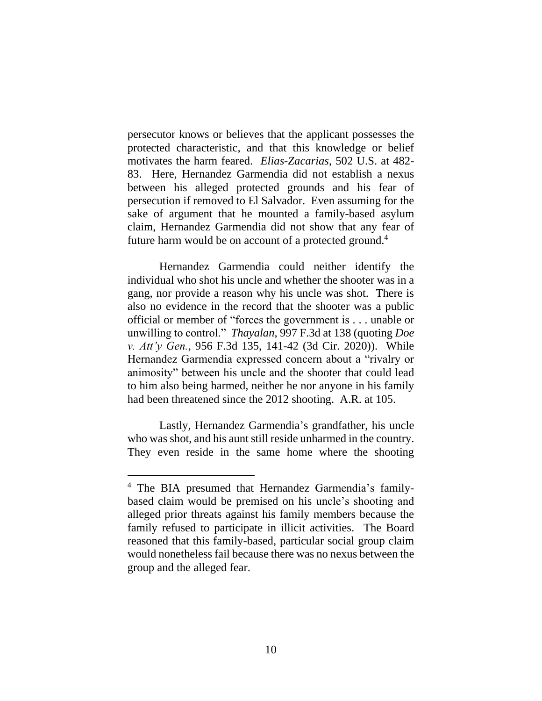persecutor knows or believes that the applicant possesses the protected characteristic, and that this knowledge or belief motivates the harm feared. *Elias-Zacarias*, 502 U.S. at 482- 83. Here, Hernandez Garmendia did not establish a nexus between his alleged protected grounds and his fear of persecution if removed to El Salvador. Even assuming for the sake of argument that he mounted a family-based asylum claim, Hernandez Garmendia did not show that any fear of future harm would be on account of a protected ground.<sup>4</sup>

Hernandez Garmendia could neither identify the individual who shot his uncle and whether the shooter was in a gang, nor provide a reason why his uncle was shot. There is also no evidence in the record that the shooter was a public official or member of "forces the government is . . . unable or unwilling to control." *Thayalan*, 997 F.3d at 138 (quoting *Doe v. Att'y Gen.*, 956 F.3d 135, 141-42 (3d Cir. 2020)). While Hernandez Garmendia expressed concern about a "rivalry or animosity" between his uncle and the shooter that could lead to him also being harmed, neither he nor anyone in his family had been threatened since the 2012 shooting. A.R. at 105.

Lastly, Hernandez Garmendia's grandfather, his uncle who was shot, and his aunt still reside unharmed in the country. They even reside in the same home where the shooting

<sup>4</sup> The BIA presumed that Hernandez Garmendia's familybased claim would be premised on his uncle's shooting and alleged prior threats against his family members because the family refused to participate in illicit activities. The Board reasoned that this family-based, particular social group claim would nonetheless fail because there was no nexus between the group and the alleged fear.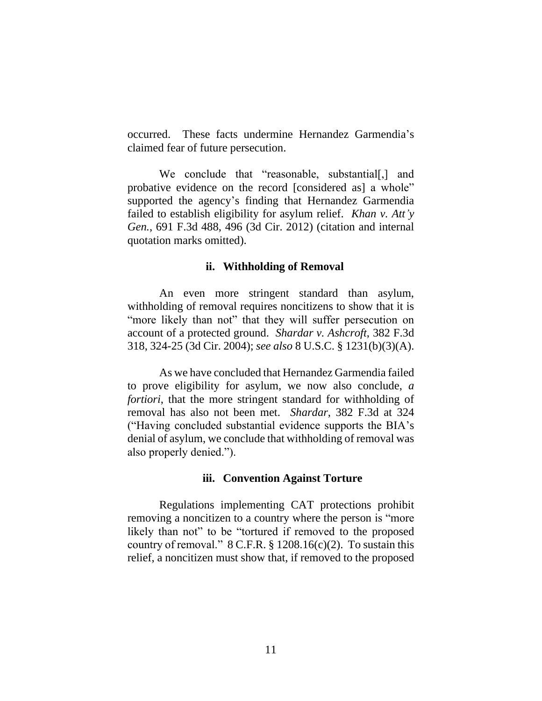occurred. These facts undermine Hernandez Garmendia's claimed fear of future persecution.

We conclude that "reasonable, substantial[,] and probative evidence on the record [considered as] a whole" supported the agency's finding that Hernandez Garmendia failed to establish eligibility for asylum relief. *Khan v. Att'y Gen.*, 691 F.3d 488, 496 (3d Cir. 2012) (citation and internal quotation marks omitted).

#### **ii. Withholding of Removal**

An even more stringent standard than asylum, withholding of removal requires noncitizens to show that it is "more likely than not" that they will suffer persecution on account of a protected ground. *Shardar v. Ashcroft*, 382 F.3d 318, 324-25 (3d Cir. 2004); *see also* 8 U.S.C. § 1231(b)(3)(A).

As we have concluded that Hernandez Garmendia failed to prove eligibility for asylum, we now also conclude, *a fortiori*, that the more stringent standard for withholding of removal has also not been met. *Shardar*, 382 F.3d at 324 ("Having concluded substantial evidence supports the BIA's denial of asylum, we conclude that withholding of removal was also properly denied.").

#### **iii. Convention Against Torture**

Regulations implementing CAT protections prohibit removing a noncitizen to a country where the person is "more likely than not" to be "tortured if removed to the proposed country of removal."  $8 \text{ C.F.R. } § 1208.16(c)(2)$ . To sustain this relief, a noncitizen must show that, if removed to the proposed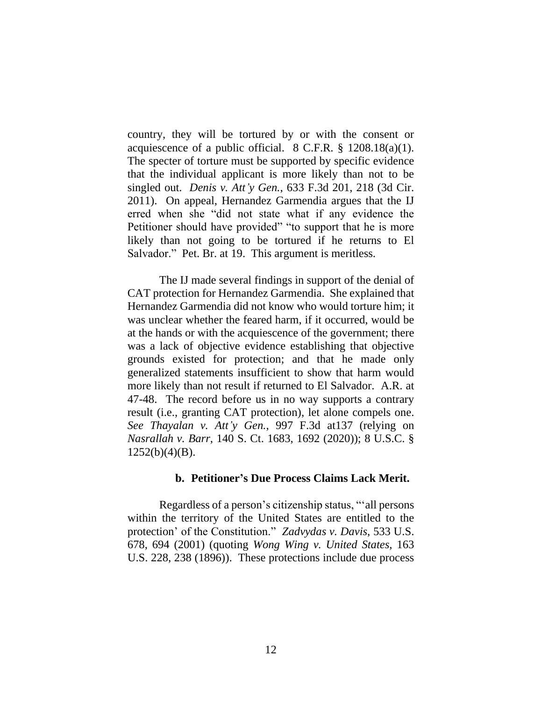country, they will be tortured by or with the consent or acquiescence of a public official.  $8$  C.F.R.  $\S$  1208.18(a)(1). The specter of torture must be supported by specific evidence that the individual applicant is more likely than not to be singled out. *Denis v. Att'y Gen.*, 633 F.3d 201, 218 (3d Cir. 2011). On appeal, Hernandez Garmendia argues that the IJ erred when she "did not state what if any evidence the Petitioner should have provided" "to support that he is more likely than not going to be tortured if he returns to El Salvador." Pet. Br. at 19. This argument is meritless.

The IJ made several findings in support of the denial of CAT protection for Hernandez Garmendia. She explained that Hernandez Garmendia did not know who would torture him; it was unclear whether the feared harm, if it occurred, would be at the hands or with the acquiescence of the government; there was a lack of objective evidence establishing that objective grounds existed for protection; and that he made only generalized statements insufficient to show that harm would more likely than not result if returned to El Salvador. A.R. at 47-48. The record before us in no way supports a contrary result (i.e., granting CAT protection), let alone compels one. *See Thayalan v. Att'y Gen.*, 997 F.3d at137 (relying on *Nasrallah v. Barr*, 140 S. Ct. 1683, 1692 (2020)); 8 U.S.C. § 1252(b)(4)(B).

# **b. Petitioner's Due Process Claims Lack Merit.**

Regardless of a person's citizenship status, "'all persons within the territory of the United States are entitled to the protection' of the Constitution." *Zadvydas v. Davis*, 533 U.S. 678, 694 (2001) (quoting *Wong Wing v. United States*, 163 U.S. 228, 238 (1896)). These protections include due process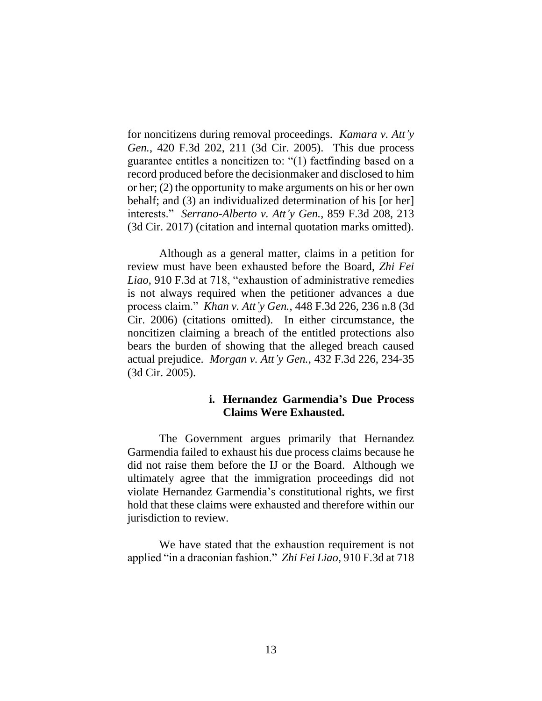for noncitizens during removal proceedings. *Kamara v. Att'y Gen.*, 420 F.3d 202, 211 (3d Cir. 2005). This due process guarantee entitles a noncitizen to: "(1) factfinding based on a record produced before the decisionmaker and disclosed to him or her; (2) the opportunity to make arguments on his or her own behalf; and (3) an individualized determination of his [or her] interests." *Serrano-Alberto v. Att'y Gen.*, 859 F.3d 208, 213 (3d Cir. 2017) (citation and internal quotation marks omitted).

Although as a general matter, claims in a petition for review must have been exhausted before the Board, *Zhi Fei Liao*, 910 F.3d at 718, "exhaustion of administrative remedies is not always required when the petitioner advances a due process claim." *Khan v. Att'y Gen.*, 448 F.3d 226, 236 n.8 (3d Cir. 2006) (citations omitted). In either circumstance, the noncitizen claiming a breach of the entitled protections also bears the burden of showing that the alleged breach caused actual prejudice. *Morgan v. Att'y Gen.*, 432 F.3d 226, 234-35 (3d Cir. 2005).

# **i. Hernandez Garmendia's Due Process Claims Were Exhausted.**

The Government argues primarily that Hernandez Garmendia failed to exhaust his due process claims because he did not raise them before the IJ or the Board. Although we ultimately agree that the immigration proceedings did not violate Hernandez Garmendia's constitutional rights, we first hold that these claims were exhausted and therefore within our jurisdiction to review.

We have stated that the exhaustion requirement is not applied "in a draconian fashion." *Zhi Fei Liao*, 910 F.3d at 718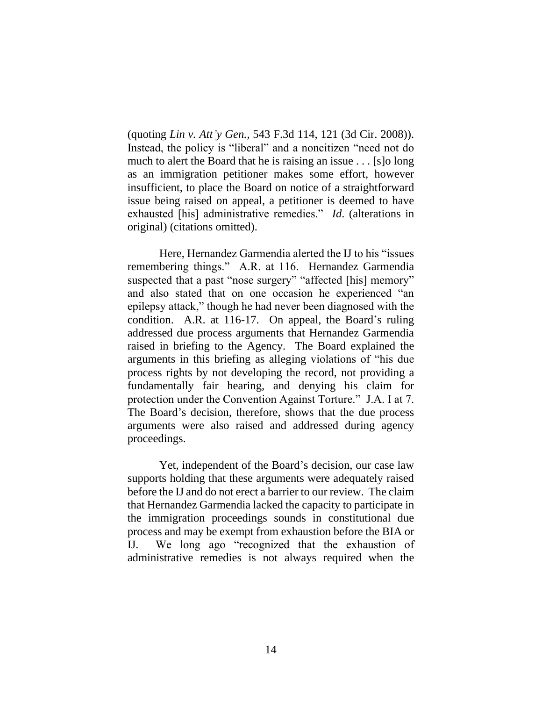(quoting *Lin v. Att'y Gen.*, 543 F.3d 114, 121 (3d Cir. 2008)). Instead, the policy is "liberal" and a noncitizen "need not do much to alert the Board that he is raising an issue . . . [s]o long as an immigration petitioner makes some effort, however insufficient, to place the Board on notice of a straightforward issue being raised on appeal, a petitioner is deemed to have exhausted [his] administrative remedies." *Id*. (alterations in original) (citations omitted).

Here, Hernandez Garmendia alerted the IJ to his "issues remembering things." A.R. at 116. Hernandez Garmendia suspected that a past "nose surgery" "affected [his] memory" and also stated that on one occasion he experienced "an epilepsy attack," though he had never been diagnosed with the condition. A.R. at 116-17. On appeal, the Board's ruling addressed due process arguments that Hernandez Garmendia raised in briefing to the Agency. The Board explained the arguments in this briefing as alleging violations of "his due process rights by not developing the record, not providing a fundamentally fair hearing, and denying his claim for protection under the Convention Against Torture." J.A. I at 7. The Board's decision, therefore, shows that the due process arguments were also raised and addressed during agency proceedings.

Yet, independent of the Board's decision, our case law supports holding that these arguments were adequately raised before the IJ and do not erect a barrier to our review. The claim that Hernandez Garmendia lacked the capacity to participate in the immigration proceedings sounds in constitutional due process and may be exempt from exhaustion before the BIA or IJ. We long ago "recognized that the exhaustion of administrative remedies is not always required when the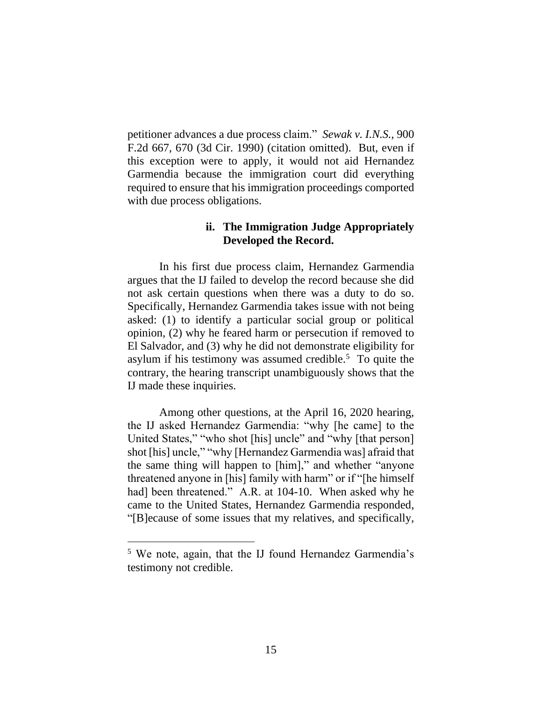petitioner advances a due process claim." *Sewak v. I.N.S.*, 900 F.2d 667, 670 (3d Cir. 1990) (citation omitted). But, even if this exception were to apply, it would not aid Hernandez Garmendia because the immigration court did everything required to ensure that his immigration proceedings comported with due process obligations.

# **ii. The Immigration Judge Appropriately Developed the Record.**

In his first due process claim, Hernandez Garmendia argues that the IJ failed to develop the record because she did not ask certain questions when there was a duty to do so. Specifically, Hernandez Garmendia takes issue with not being asked: (1) to identify a particular social group or political opinion, (2) why he feared harm or persecution if removed to El Salvador, and (3) why he did not demonstrate eligibility for asylum if his testimony was assumed credible. $5$  To quite the contrary, the hearing transcript unambiguously shows that the IJ made these inquiries.

Among other questions, at the April 16, 2020 hearing, the IJ asked Hernandez Garmendia: "why [he came] to the United States," "who shot [his] uncle" and "why [that person] shot [his] uncle," "why [Hernandez Garmendia was] afraid that the same thing will happen to [him]," and whether "anyone threatened anyone in [his] family with harm" or if "[he himself had] been threatened." A.R. at 104-10. When asked why he came to the United States, Hernandez Garmendia responded, "[B]ecause of some issues that my relatives, and specifically,

<sup>5</sup> We note, again, that the IJ found Hernandez Garmendia's testimony not credible.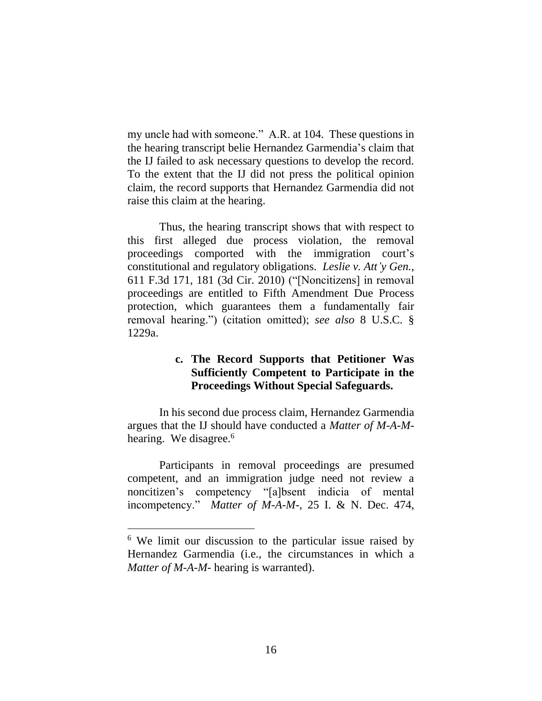my uncle had with someone." A.R. at 104. These questions in the hearing transcript belie Hernandez Garmendia's claim that the IJ failed to ask necessary questions to develop the record. To the extent that the IJ did not press the political opinion claim, the record supports that Hernandez Garmendia did not raise this claim at the hearing.

Thus, the hearing transcript shows that with respect to this first alleged due process violation, the removal proceedings comported with the immigration court's constitutional and regulatory obligations. *Leslie v. Att'y Gen.*, 611 F.3d 171, 181 (3d Cir. 2010) ("[Noncitizens] in removal proceedings are entitled to Fifth Amendment Due Process protection, which guarantees them a fundamentally fair removal hearing.") (citation omitted); *see also* 8 U.S.C. § 1229a.

# **c. The Record Supports that Petitioner Was Sufficiently Competent to Participate in the Proceedings Without Special Safeguards.**

In his second due process claim, Hernandez Garmendia argues that the IJ should have conducted a *Matter of M-A-M*hearing. We disagree.<sup>6</sup>

Participants in removal proceedings are presumed competent, and an immigration judge need not review a noncitizen's competency "[a]bsent indicia of mental incompetency." *Matter of M-A-M-*, 25 I. & N. Dec. 474,

<sup>&</sup>lt;sup>6</sup> We limit our discussion to the particular issue raised by Hernandez Garmendia (i.e., the circumstances in which a *Matter of M-A-M-* hearing is warranted).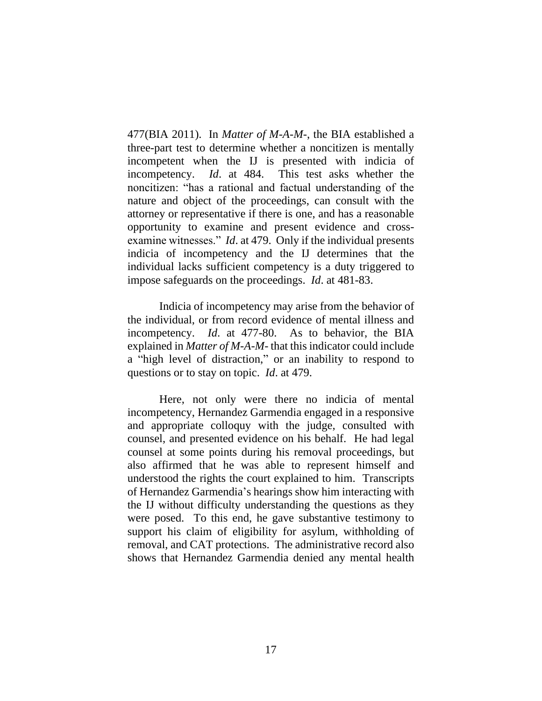477(BIA 2011). In *Matter of M-A-M-*, the BIA established a three-part test to determine whether a noncitizen is mentally incompetent when the IJ is presented with indicia of incompetency. *Id*. at 484. This test asks whether the noncitizen: "has a rational and factual understanding of the nature and object of the proceedings, can consult with the attorney or representative if there is one, and has a reasonable opportunity to examine and present evidence and crossexamine witnesses." *Id*. at 479. Only if the individual presents indicia of incompetency and the IJ determines that the individual lacks sufficient competency is a duty triggered to impose safeguards on the proceedings. *Id*. at 481-83.

Indicia of incompetency may arise from the behavior of the individual, or from record evidence of mental illness and incompetency. *Id*. at 477-80. As to behavior, the BIA explained in *Matter of M-A-M-* that this indicator could include a "high level of distraction," or an inability to respond to questions or to stay on topic. *Id*. at 479.

Here, not only were there no indicia of mental incompetency, Hernandez Garmendia engaged in a responsive and appropriate colloquy with the judge, consulted with counsel, and presented evidence on his behalf. He had legal counsel at some points during his removal proceedings, but also affirmed that he was able to represent himself and understood the rights the court explained to him. Transcripts of Hernandez Garmendia's hearings show him interacting with the IJ without difficulty understanding the questions as they were posed. To this end, he gave substantive testimony to support his claim of eligibility for asylum, withholding of removal, and CAT protections. The administrative record also shows that Hernandez Garmendia denied any mental health